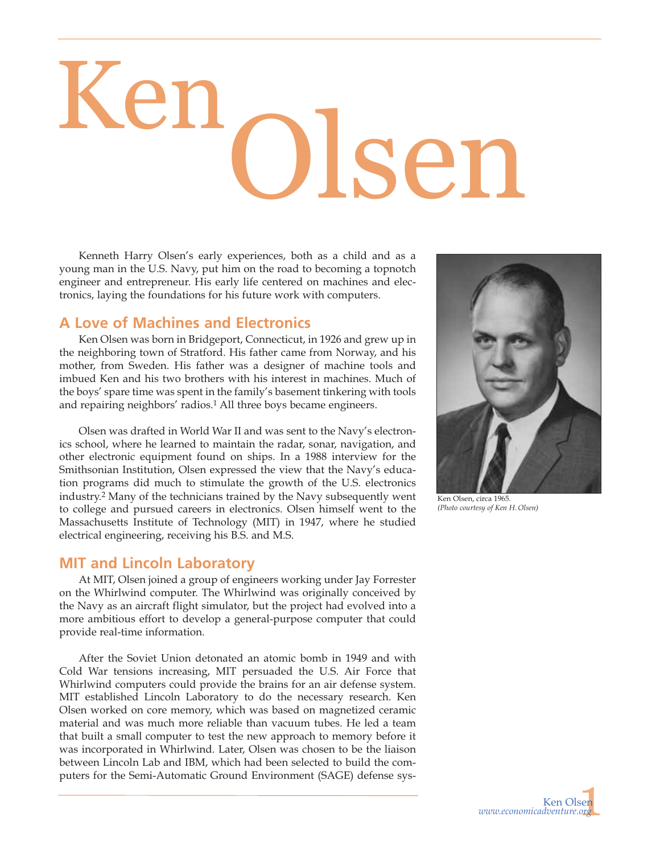# Olsen Ken

Kenneth Harry Olsen's early experiences, both as a child and as a young man in the U.S. Navy, put him on the road to becoming a topnotch engineer and entrepreneur. His early life centered on machines and electronics, laying the foundations for his future work with computers.

## **A Love of Machines and Electronics**

Ken Olsen was born in Bridgeport, Connecticut, in 1926 and grew up in the neighboring town of Stratford. His father came from Norway, and his mother, from Sweden. His father was a designer of machine tools and imbued Ken and his two brothers with his interest in machines. Much of the boys' spare time was spent in the family's basement tinkering with tools and repairing neighbors' radios.1 All three boys became engineers.

Olsen was drafted in World War II and was sent to the Navy's electronics school, where he learned to maintain the radar, sonar, navigation, and other electronic equipment found on ships. In a 1988 interview for the Smithsonian Institution, Olsen expressed the view that the Navy's education programs did much to stimulate the growth of the U.S. electronics industry.2 Many of the technicians trained by the Navy subsequently went to college and pursued careers in electronics. Olsen himself went to the Massachusetts Institute of Technology (MIT) in 1947, where he studied electrical engineering, receiving his B.S. and M.S.

## **MIT and Lincoln Laboratory**

At MIT, Olsen joined a group of engineers working under Jay Forrester on the Whirlwind computer. The Whirlwind was originally conceived by the Navy as an aircraft flight simulator, but the project had evolved into a more ambitious effort to develop a general-purpose computer that could provide real-time information.

After the Soviet Union detonated an atomic bomb in 1949 and with Cold War tensions increasing, MIT persuaded the U.S. Air Force that Whirlwind computers could provide the brains for an air defense system. MIT established Lincoln Laboratory to do the necessary research. Ken Olsen worked on core memory, which was based on magnetized ceramic material and was much more reliable than vacuum tubes. He led a team that built a small computer to test the new approach to memory before it was incorporated in Whirlwind. Later, Olsen was chosen to be the liaison between Lincoln Lab and IBM, which had been selected to build the computers for the Semi-Automatic Ground Environment (SAGE) defense sys-



Ken Olsen, circa 1965. *(Photo courtesy of Ken H.Olsen)*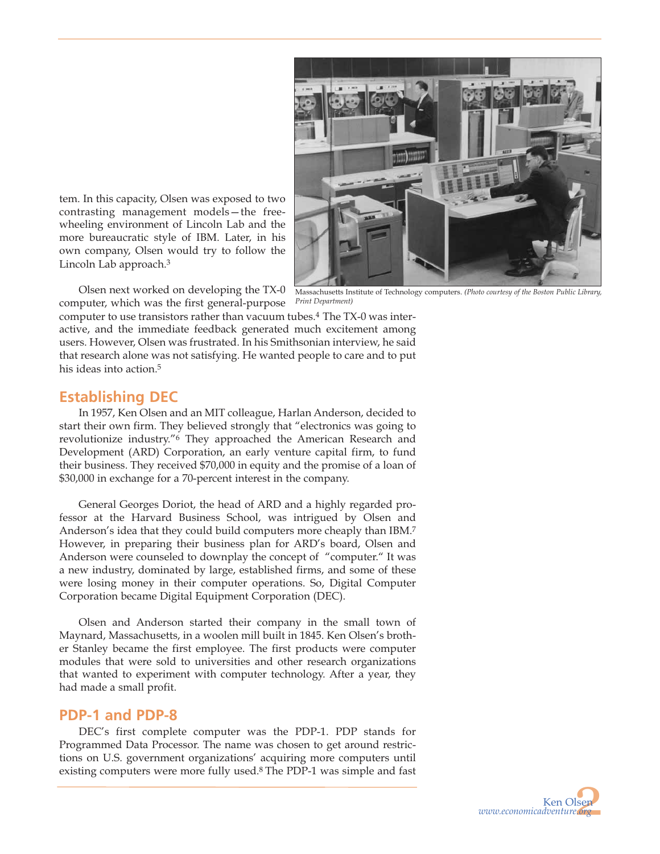

tem. In this capacity, Olsen was exposed to two contrasting management models—the freewheeling environment of Lincoln Lab and the more bureaucratic style of IBM. Later, in his own company, Olsen would try to follow the Lincoln Lab approach.3

Olsen next worked on developing the TX-0 computer, which was the first general-purpose

Massachusetts Institute of Technology computers. *(Photo courtesy of the Boston Public Library, Print Department)*

computer to use transistors rather than vacuum tubes.4 The TX-0 was interactive, and the immediate feedback generated much excitement among users. However, Olsen was frustrated. In his Smithsonian interview, he said that research alone was not satisfying. He wanted people to care and to put his ideas into action.<sup>5</sup>

# **Establishing DEC**

In 1957, Ken Olsen and an MIT colleague, Harlan Anderson, decided to start their own firm. They believed strongly that "electronics was going to revolutionize industry."6 They approached the American Research and Development (ARD) Corporation, an early venture capital firm, to fund their business. They received \$70,000 in equity and the promise of a loan of \$30,000 in exchange for a 70-percent interest in the company.

General Georges Doriot, the head of ARD and a highly regarded professor at the Harvard Business School, was intrigued by Olsen and Anderson's idea that they could build computers more cheaply than IBM.7 However, in preparing their business plan for ARD's board, Olsen and Anderson were counseled to downplay the concept of "computer." It was a new industry, dominated by large, established firms, and some of these were losing money in their computer operations. So, Digital Computer Corporation became Digital Equipment Corporation (DEC).

Olsen and Anderson started their company in the small town of Maynard, Massachusetts, in a woolen mill built in 1845. Ken Olsen's brother Stanley became the first employee. The first products were computer modules that were sold to universities and other research organizations that wanted to experiment with computer technology. After a year, they had made a small profit.

# **PDP-1 and PDP-8**

DEC's first complete computer was the PDP-1. PDP stands for Programmed Data Processor. The name was chosen to get around restrictions on U.S. government organizations' acquiring more computers until existing computers were more fully used.8 The PDP-1 was simple and fast

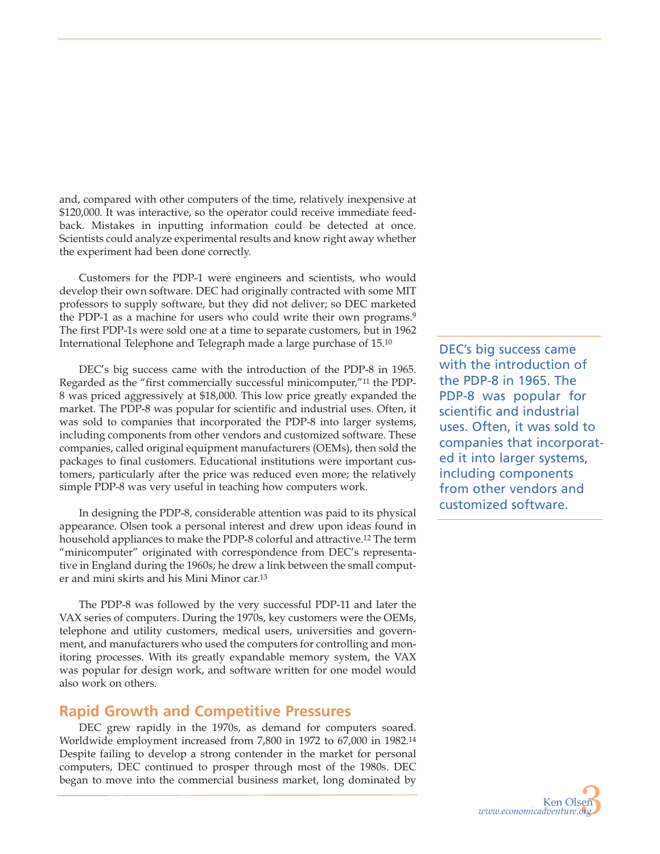and, compared with other computers of the time, relatively inexpensive at \$120,000. It was interactive, so the operator could receive immediate feedback. Mistakes in inputting information could be detected at once. Scientists could analyze experimental results and know right away whether the experiment had been done correctly.

Customers for the PDP-1 were engineers and scientists, who would develop their own software. DEC had originally contracted with some MIT professors to supply software, but they did not deliver; so DEC marketed the PDP-1 as a machine for users who could write their own programs.<sup>9</sup> The first PDP-1s were sold one at a time to separate customers, but in 1962 International Telephone and Telegraph made a large purchase of 15.10

DEC's big success came with the introduction of the PDP-8 in 1965. Regarded as the "first commercially successful minicomputer,"11 the PDP-8 was priced aggressively at \$18,000. This low price greatly expanded the market. The PDP-8 was popular for scientific and industrial uses. Often, it was sold to companies that incorporated the PDP-8 into larger systems, including components from other vendors and customized software. These companies, called original equipment manufacturers (OEMs), then sold the packages to final customers. Educational institutions were important customers, particularly after the price was reduced even more; the relatively simple PDP-8 was very useful in teaching how computers work.

In designing the PDP-8, considerable attention was paid to its physical appearance. Olsen took a personal interest and drew upon ideas found in household appliances to make the PDP-8 colorful and attractive.12 The term "minicomputer" originated with correspondence from DEC's representative in England during the 1960s; he drew a link between the small computer and mini skirts and his Mini Minor car.13

The PDP-8 was followed by the very successful PDP-11 and later the VAX series of computers. During the 1970s, key customers were the OEMs, telephone and utility customers, medical users, universities and government, and manufacturers who used the computers for controlling and monitoring processes. With its greatly expandable memory system, the VAX was popular for design work, and software written for one model would also work on others.

#### **Rapid Growth and Competitive Pressures**

DEC grew rapidly in the 1970s, as demand for computers soared. Worldwide employment increased from 7,800 in 1972 to 67,000 in 1982.14 Despite failing to develop a strong contender in the market for personal computers, DEC continued to prosper through most of the 1980s. DEC began to move into the commercial business market, long dominated by DEC's big success came with the introduction of the PDP-8 in 1965. The PDP-8 was popular for scientific and industrial uses. Often, it was sold to companies that incorporated it into larger systems, including components from other vendors and customized software.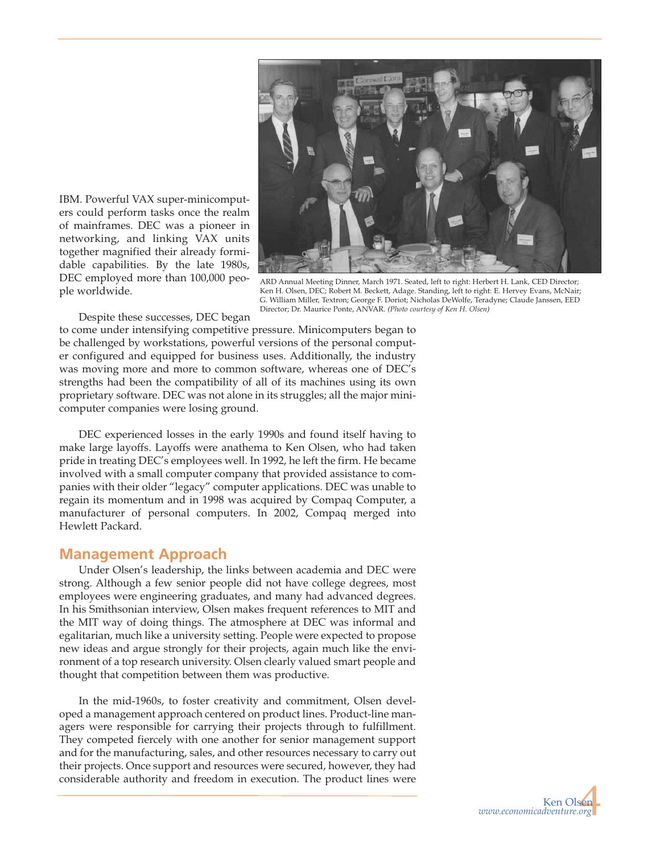

IBM. Powerful VAX super-minicomputers could perform tasks once the realm of mainframes. DEC was a pioneer in networking, and linking VAX units together magnified their already formidable capabilities. By the late 1980s, DEC employed more than 100,000 people worldwide.

ARD Annual Meeting Dinner, March 1971. Seated, left to right: Herbert H. Lank, CED Director; Ken H. Olsen, DEC; Robert M. Beckett, Adage. Standing, left to right: E. Hervey Evans, McNair; G. William Miller, Textron; George F. Doriot; Nicholas DeWolfe, Teradyne; Claude Janssen, EED Director; Dr. Maurice Ponte, ANVAR. *(Photo courtesy of Ken H. Olsen)*

Despite these successes, DEC began

to come under intensifying competitive pressure. Minicomputers began to be challenged by workstations, powerful versions of the personal computer configured and equipped for business uses. Additionally, the industry was moving more and more to common software, whereas one of DEC's strengths had been the compatibility of all of its machines using its own proprietary software. DEC was not alone in its struggles; all the major minicomputer companies were losing ground.

DEC experienced losses in the early 1990s and found itself having to make large layoffs. Layoffs were anathema to Ken Olsen, who had taken pride in treating DEC's employees well. In 1992, he left the firm. He became involved with a small computer company that provided assistance to companies with their older "legacy" computer applications. DEC was unable to regain its momentum and in 1998 was acquired by Compaq Computer, a manufacturer of personal computers. In 2002, Compaq merged into Hewlett Packard.

#### **Management Approach**

Under Olsen's leadership, the links between academia and DEC were strong. Although a few senior people did not have college degrees, most employees were engineering graduates, and many had advanced degrees. In his Smithsonian interview, Olsen makes frequent references to MIT and the MIT way of doing things. The atmosphere at DEC was informal and egalitarian, much like a university setting. People were expected to propose new ideas and argue strongly for their projects, again much like the environment of a top research university. Olsen clearly valued smart people and thought that competition between them was productive.

In the mid-1960s, to foster creativity and commitment, Olsen developed a management approach centered on product lines. Product-line managers were responsible for carrying their projects through to fulfillment. They competed fiercely with one another for senior management support and for the manufacturing, sales, and other resources necessary to carry out their projects. Once support and resources were secured, however, they had considerable authority and freedom in execution. The product lines were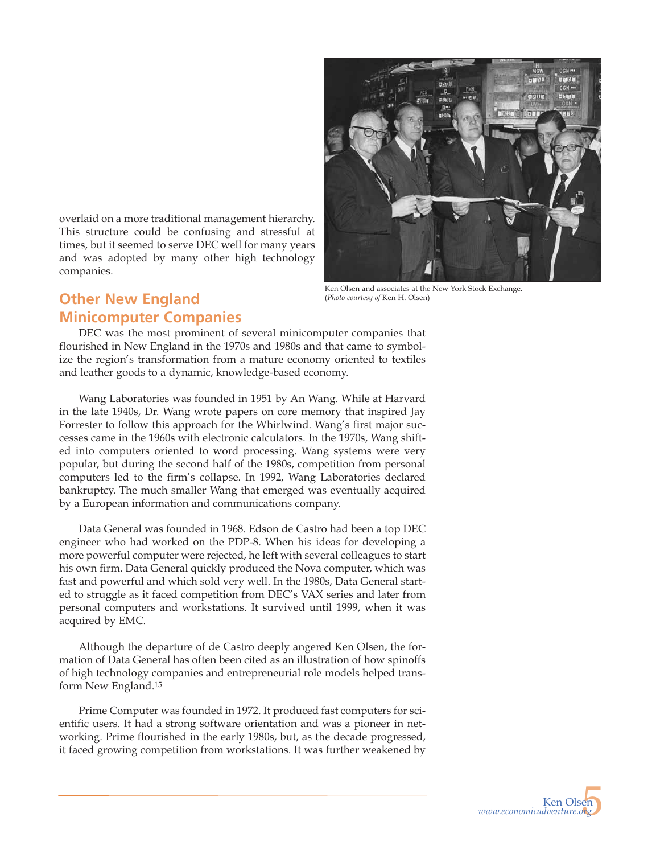overlaid on a more traditional management hierarchy. This structure could be confusing and stressful at times, but it seemed to serve DEC well for many years and was adopted by many other high technology companies.

Ken Olsen and associates at the New York Stock Exchange. (*Photo courtesy of* Ken H. Olsen)

# **Other New England Minicomputer Companies**

DEC was the most prominent of several minicomputer companies that flourished in New England in the 1970s and 1980s and that came to symbolize the region's transformation from a mature economy oriented to textiles and leather goods to a dynamic, knowledge-based economy.

Wang Laboratories was founded in 1951 by An Wang. While at Harvard in the late 1940s, Dr. Wang wrote papers on core memory that inspired Jay Forrester to follow this approach for the Whirlwind. Wang's first major successes came in the 1960s with electronic calculators. In the 1970s, Wang shifted into computers oriented to word processing. Wang systems were very popular, but during the second half of the 1980s, competition from personal computers led to the firm's collapse. In 1992, Wang Laboratories declared bankruptcy. The much smaller Wang that emerged was eventually acquired by a European information and communications company.

Data General was founded in 1968. Edson de Castro had been a top DEC engineer who had worked on the PDP-8. When his ideas for developing a more powerful computer were rejected, he left with several colleagues to start his own firm. Data General quickly produced the Nova computer, which was fast and powerful and which sold very well. In the 1980s, Data General started to struggle as it faced competition from DEC's VAX series and later from personal computers and workstations. It survived until 1999, when it was acquired by EMC.

Although the departure of de Castro deeply angered Ken Olsen, the formation of Data General has often been cited as an illustration of how spinoffs of high technology companies and entrepreneurial role models helped transform New England.15

Prime Computer was founded in 1972. It produced fast computers for scientific users. It had a strong software orientation and was a pioneer in networking. Prime flourished in the early 1980s, but, as the decade progressed, it faced growing competition from workstations. It was further weakened by

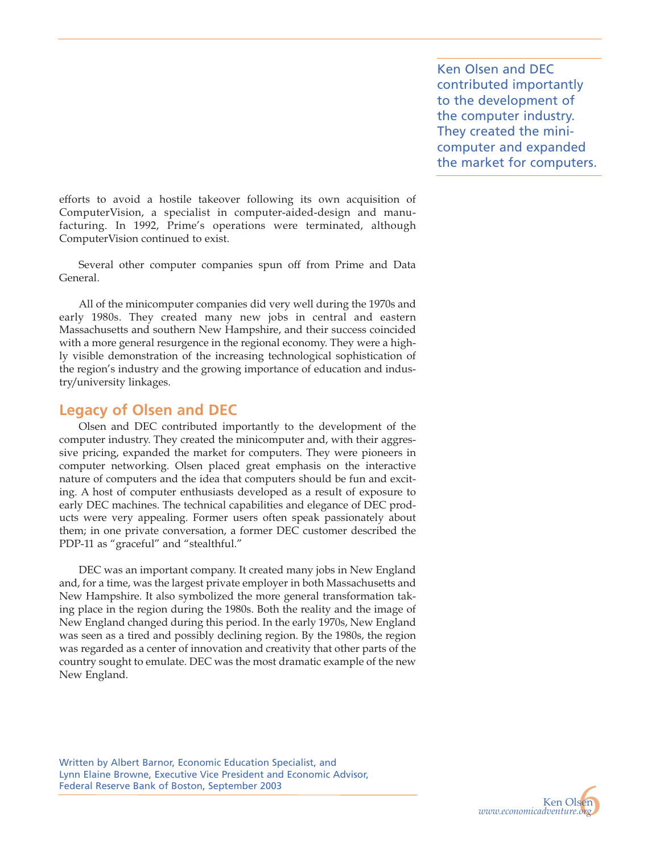Ken Olsen and DEC contributed importantly to the development of the computer industry. They created the minicomputer and expanded the market for computers.

efforts to avoid a hostile takeover following its own acquisition of ComputerVision, a specialist in computer-aided-design and manufacturing. In 1992, Prime's operations were terminated, although ComputerVision continued to exist.

Several other computer companies spun off from Prime and Data General.

All of the minicomputer companies did very well during the 1970s and early 1980s. They created many new jobs in central and eastern Massachusetts and southern New Hampshire, and their success coincided with a more general resurgence in the regional economy. They were a highly visible demonstration of the increasing technological sophistication of the region's industry and the growing importance of education and industry/university linkages.

#### **Legacy of Olsen and DEC**

Olsen and DEC contributed importantly to the development of the computer industry. They created the minicomputer and, with their aggressive pricing, expanded the market for computers. They were pioneers in computer networking. Olsen placed great emphasis on the interactive nature of computers and the idea that computers should be fun and exciting. A host of computer enthusiasts developed as a result of exposure to early DEC machines. The technical capabilities and elegance of DEC products were very appealing. Former users often speak passionately about them; in one private conversation, a former DEC customer described the PDP-11 as "graceful" and "stealthful."

DEC was an important company. It created many jobs in New England and, for a time, was the largest private employer in both Massachusetts and New Hampshire. It also symbolized the more general transformation taking place in the region during the 1980s. Both the reality and the image of New England changed during this period. In the early 1970s, New England was seen as a tired and possibly declining region. By the 1980s, the region was regarded as a center of innovation and creativity that other parts of the country sought to emulate. DEC was the most dramatic example of the new New England.

Written by Albert Barnor, Economic Education Specialist, and Lynn Elaine Browne, Executive Vice President and Economic Advisor, Federal Reserve Bank of Boston, September 2003